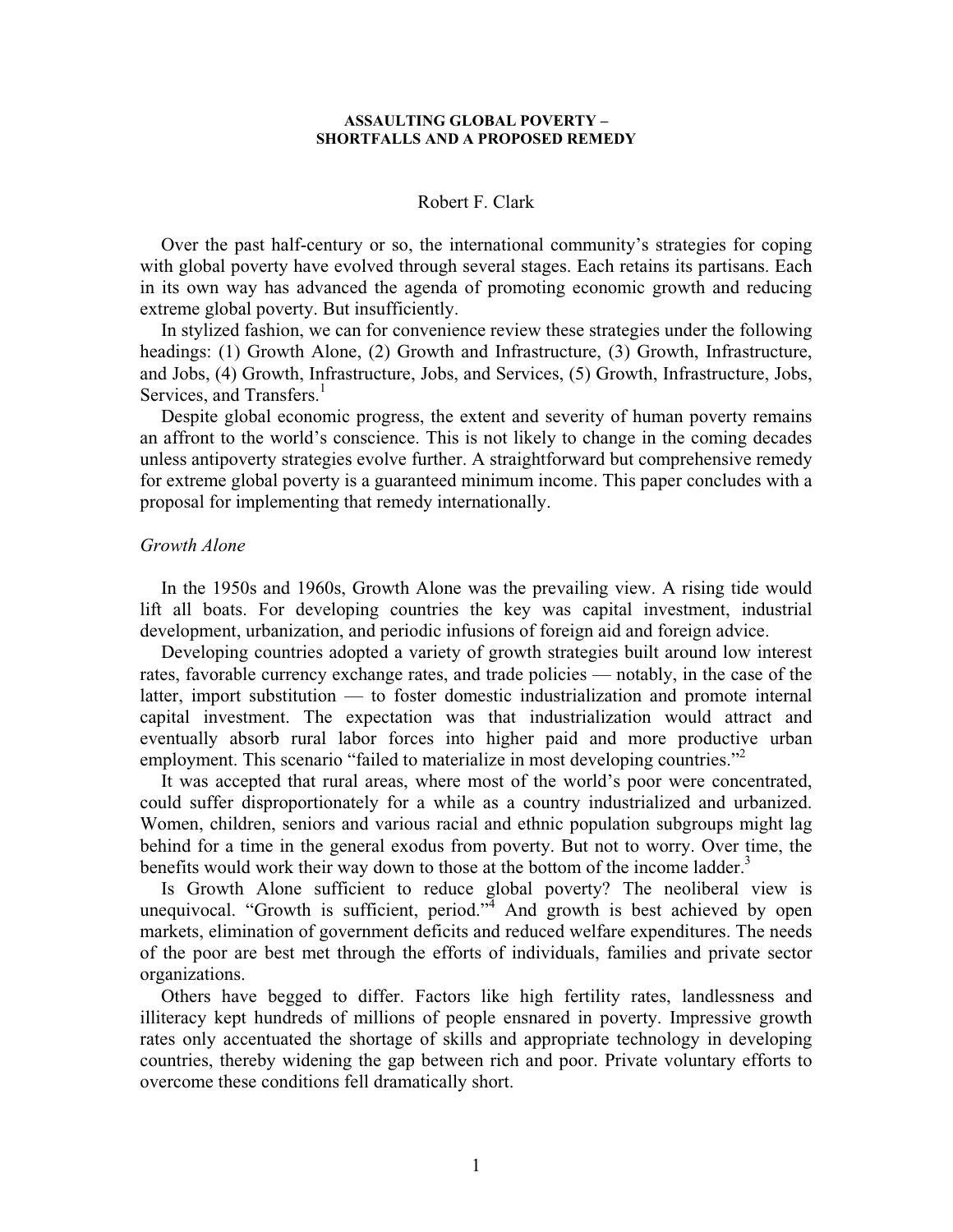### **ASSAULTING GLOBAL POVERTY – SHORTFALLS AND A PROPOSED REMEDY**

### Robert F. Clark

Over the past half-century or so, the international community's strategies for coping with global poverty have evolved through several stages. Each retains its partisans. Each in its own way has advanced the agenda of promoting economic growth and reducing extreme global poverty. But insufficiently.

In stylized fashion, we can for convenience review these strategies under the following headings: (1) Growth Alone, (2) Growth and Infrastructure, (3) Growth, Infrastructure, and Jobs, (4) Growth, Infrastructure, Jobs, and Services, (5) Growth, Infrastructure, Jobs, Services, and Transfers.<sup>1</sup>

Despite global economic progress, the extent and severity of human poverty remains an affront to the world's conscience. This is not likely to change in the coming decades unless antipoverty strategies evolve further. A straightforward but comprehensive remedy for extreme global poverty is a guaranteed minimum income. This paper concludes with a proposal for implementing that remedy internationally.

### *Growth Alone*

In the 1950s and 1960s, Growth Alone was the prevailing view. A rising tide would lift all boats. For developing countries the key was capital investment, industrial development, urbanization, and periodic infusions of foreign aid and foreign advice.

Developing countries adopted a variety of growth strategies built around low interest rates, favorable currency exchange rates, and trade policies — notably, in the case of the latter, import substitution — to foster domestic industrialization and promote internal capital investment. The expectation was that industrialization would attract and eventually absorb rural labor forces into higher paid and more productive urban employment. This scenario "failed to materialize in most developing countries."<sup>2</sup>

It was accepted that rural areas, where most of the world's poor were concentrated, could suffer disproportionately for a while as a country industrialized and urbanized. Women, children, seniors and various racial and ethnic population subgroups might lag behind for a time in the general exodus from poverty. But not to worry. Over time, the benefits would work their way down to those at the bottom of the income ladder.<sup>3</sup>

Is Growth Alone sufficient to reduce global poverty? The neoliberal view is unequivocal. "Growth is sufficient, period." $\frac{1}{4}$  And growth is best achieved by open markets, elimination of government deficits and reduced welfare expenditures. The needs of the poor are best met through the efforts of individuals, families and private sector organizations.

Others have begged to differ. Factors like high fertility rates, landlessness and illiteracy kept hundreds of millions of people ensnared in poverty. Impressive growth rates only accentuated the shortage of skills and appropriate technology in developing countries, thereby widening the gap between rich and poor. Private voluntary efforts to overcome these conditions fell dramatically short.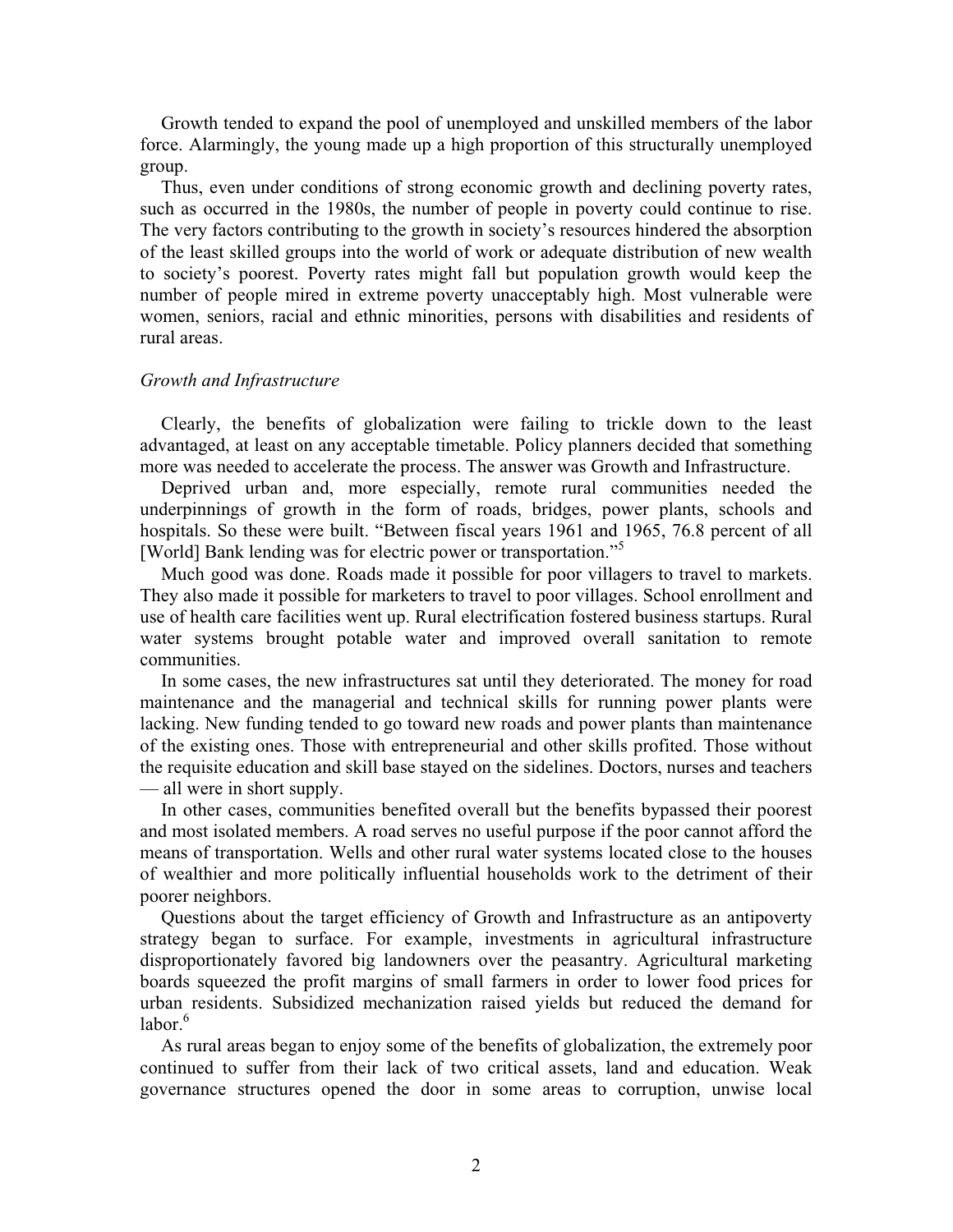Growth tended to expand the pool of unemployed and unskilled members of the labor force. Alarmingly, the young made up a high proportion of this structurally unemployed group.

Thus, even under conditions of strong economic growth and declining poverty rates, such as occurred in the 1980s, the number of people in poverty could continue to rise. The very factors contributing to the growth in society's resources hindered the absorption of the least skilled groups into the world of work or adequate distribution of new wealth to society's poorest. Poverty rates might fall but population growth would keep the number of people mired in extreme poverty unacceptably high. Most vulnerable were women, seniors, racial and ethnic minorities, persons with disabilities and residents of rural areas.

### *Growth and Infrastructure*

Clearly, the benefits of globalization were failing to trickle down to the least advantaged, at least on any acceptable timetable. Policy planners decided that something more was needed to accelerate the process. The answer was Growth and Infrastructure.

Deprived urban and, more especially, remote rural communities needed the underpinnings of growth in the form of roads, bridges, power plants, schools and hospitals. So these were built. "Between fiscal years 1961 and 1965, 76.8 percent of all [World] Bank lending was for electric power or transportation."<sup>5</sup>

Much good was done. Roads made it possible for poor villagers to travel to markets. They also made it possible for marketers to travel to poor villages. School enrollment and use of health care facilities went up. Rural electrification fostered business startups. Rural water systems brought potable water and improved overall sanitation to remote communities.

In some cases, the new infrastructures sat until they deteriorated. The money for road maintenance and the managerial and technical skills for running power plants were lacking. New funding tended to go toward new roads and power plants than maintenance of the existing ones. Those with entrepreneurial and other skills profited. Those without the requisite education and skill base stayed on the sidelines. Doctors, nurses and teachers — all were in short supply.

In other cases, communities benefited overall but the benefits bypassed their poorest and most isolated members. A road serves no useful purpose if the poor cannot afford the means of transportation. Wells and other rural water systems located close to the houses of wealthier and more politically influential households work to the detriment of their poorer neighbors.

Questions about the target efficiency of Growth and Infrastructure as an antipoverty strategy began to surface. For example, investments in agricultural infrastructure disproportionately favored big landowners over the peasantry. Agricultural marketing boards squeezed the profit margins of small farmers in order to lower food prices for urban residents. Subsidized mechanization raised yields but reduced the demand for  $l$ abor $6$ 

As rural areas began to enjoy some of the benefits of globalization, the extremely poor continued to suffer from their lack of two critical assets, land and education. Weak governance structures opened the door in some areas to corruption, unwise local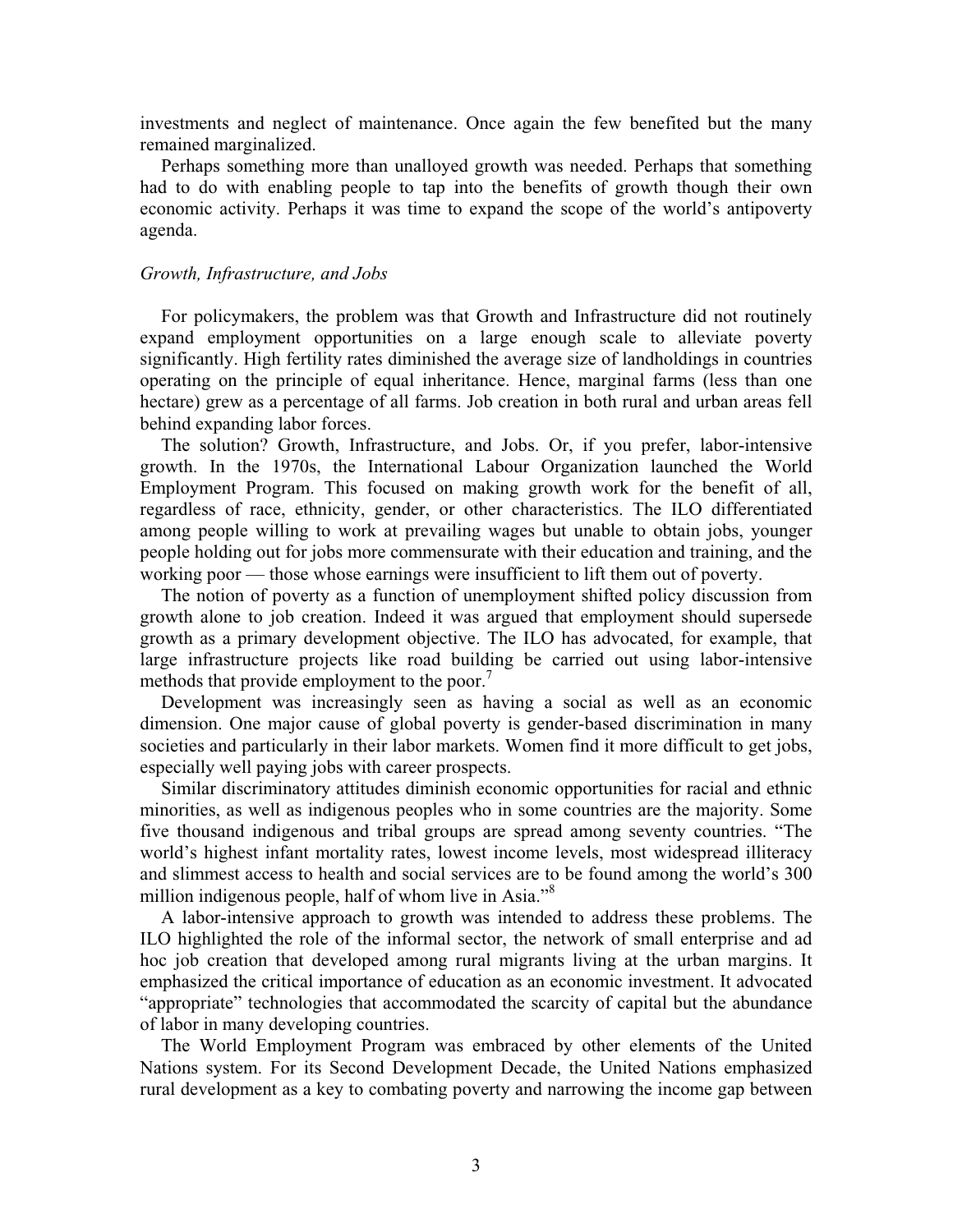investments and neglect of maintenance. Once again the few benefited but the many remained marginalized.

Perhaps something more than unalloyed growth was needed. Perhaps that something had to do with enabling people to tap into the benefits of growth though their own economic activity. Perhaps it was time to expand the scope of the world's antipoverty agenda.

# *Growth, Infrastructure, and Jobs*

For policymakers, the problem was that Growth and Infrastructure did not routinely expand employment opportunities on a large enough scale to alleviate poverty significantly. High fertility rates diminished the average size of landholdings in countries operating on the principle of equal inheritance. Hence, marginal farms (less than one hectare) grew as a percentage of all farms. Job creation in both rural and urban areas fell behind expanding labor forces.

The solution? Growth, Infrastructure, and Jobs. Or, if you prefer, labor-intensive growth. In the 1970s, the International Labour Organization launched the World Employment Program. This focused on making growth work for the benefit of all, regardless of race, ethnicity, gender, or other characteristics. The ILO differentiated among people willing to work at prevailing wages but unable to obtain jobs, younger people holding out for jobs more commensurate with their education and training, and the working poor — those whose earnings were insufficient to lift them out of poverty.

The notion of poverty as a function of unemployment shifted policy discussion from growth alone to job creation. Indeed it was argued that employment should supersede growth as a primary development objective. The ILO has advocated, for example, that large infrastructure projects like road building be carried out using labor-intensive methods that provide employment to the poor.<sup>7</sup>

Development was increasingly seen as having a social as well as an economic dimension. One major cause of global poverty is gender-based discrimination in many societies and particularly in their labor markets. Women find it more difficult to get jobs, especially well paying jobs with career prospects.

Similar discriminatory attitudes diminish economic opportunities for racial and ethnic minorities, as well as indigenous peoples who in some countries are the majority. Some five thousand indigenous and tribal groups are spread among seventy countries. "The world's highest infant mortality rates, lowest income levels, most widespread illiteracy and slimmest access to health and social services are to be found among the world's 300 million indigenous people, half of whom live in Asia."<sup>8</sup>

A labor-intensive approach to growth was intended to address these problems. The ILO highlighted the role of the informal sector, the network of small enterprise and ad hoc job creation that developed among rural migrants living at the urban margins. It emphasized the critical importance of education as an economic investment. It advocated "appropriate" technologies that accommodated the scarcity of capital but the abundance of labor in many developing countries.

The World Employment Program was embraced by other elements of the United Nations system. For its Second Development Decade, the United Nations emphasized rural development as a key to combating poverty and narrowing the income gap between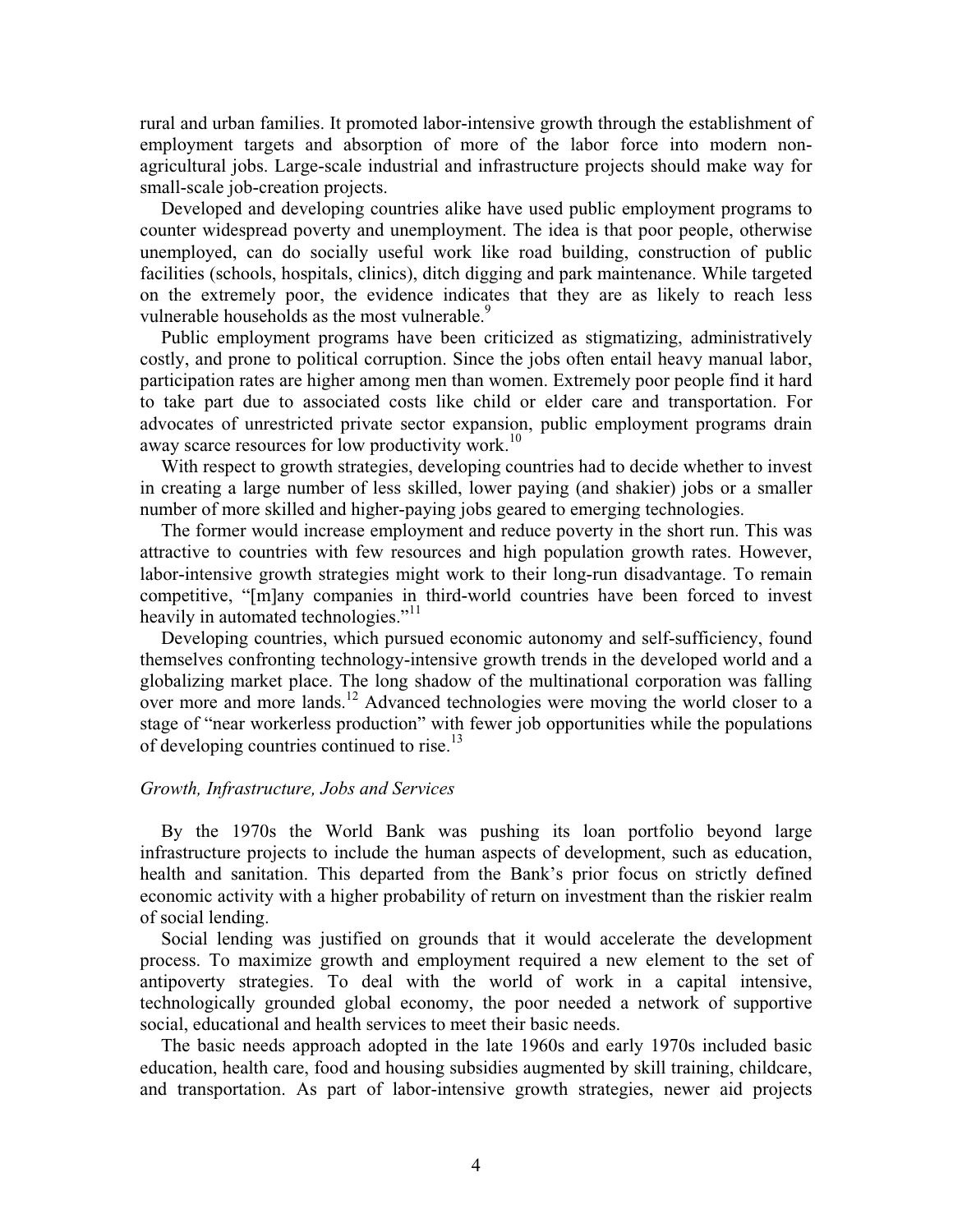rural and urban families. It promoted labor-intensive growth through the establishment of employment targets and absorption of more of the labor force into modern nonagricultural jobs. Large-scale industrial and infrastructure projects should make way for small-scale job-creation projects.

Developed and developing countries alike have used public employment programs to counter widespread poverty and unemployment. The idea is that poor people, otherwise unemployed, can do socially useful work like road building, construction of public facilities (schools, hospitals, clinics), ditch digging and park maintenance. While targeted on the extremely poor, the evidence indicates that they are as likely to reach less vulnerable households as the most vulnerable.<sup>9</sup>

Public employment programs have been criticized as stigmatizing, administratively costly, and prone to political corruption. Since the jobs often entail heavy manual labor, participation rates are higher among men than women. Extremely poor people find it hard to take part due to associated costs like child or elder care and transportation. For advocates of unrestricted private sector expansion, public employment programs drain away scarce resources for low productivity work.<sup>10</sup>

With respect to growth strategies, developing countries had to decide whether to invest in creating a large number of less skilled, lower paying (and shakier) jobs or a smaller number of more skilled and higher-paying jobs geared to emerging technologies.

The former would increase employment and reduce poverty in the short run. This was attractive to countries with few resources and high population growth rates. However, labor-intensive growth strategies might work to their long-run disadvantage. To remain competitive, "[m]any companies in third-world countries have been forced to invest heavily in automated technologies."<sup>11</sup>

Developing countries, which pursued economic autonomy and self-sufficiency, found themselves confronting technology-intensive growth trends in the developed world and a globalizing market place. The long shadow of the multinational corporation was falling over more and more lands.<sup>12</sup> Advanced technologies were moving the world closer to a stage of "near workerless production" with fewer job opportunities while the populations of developing countries continued to rise.<sup>13</sup>

# *Growth, Infrastructure, Jobs and Services*

By the 1970s the World Bank was pushing its loan portfolio beyond large infrastructure projects to include the human aspects of development, such as education, health and sanitation. This departed from the Bank's prior focus on strictly defined economic activity with a higher probability of return on investment than the riskier realm of social lending.

Social lending was justified on grounds that it would accelerate the development process. To maximize growth and employment required a new element to the set of antipoverty strategies. To deal with the world of work in a capital intensive, technologically grounded global economy, the poor needed a network of supportive social, educational and health services to meet their basic needs.

The basic needs approach adopted in the late 1960s and early 1970s included basic education, health care, food and housing subsidies augmented by skill training, childcare, and transportation. As part of labor-intensive growth strategies, newer aid projects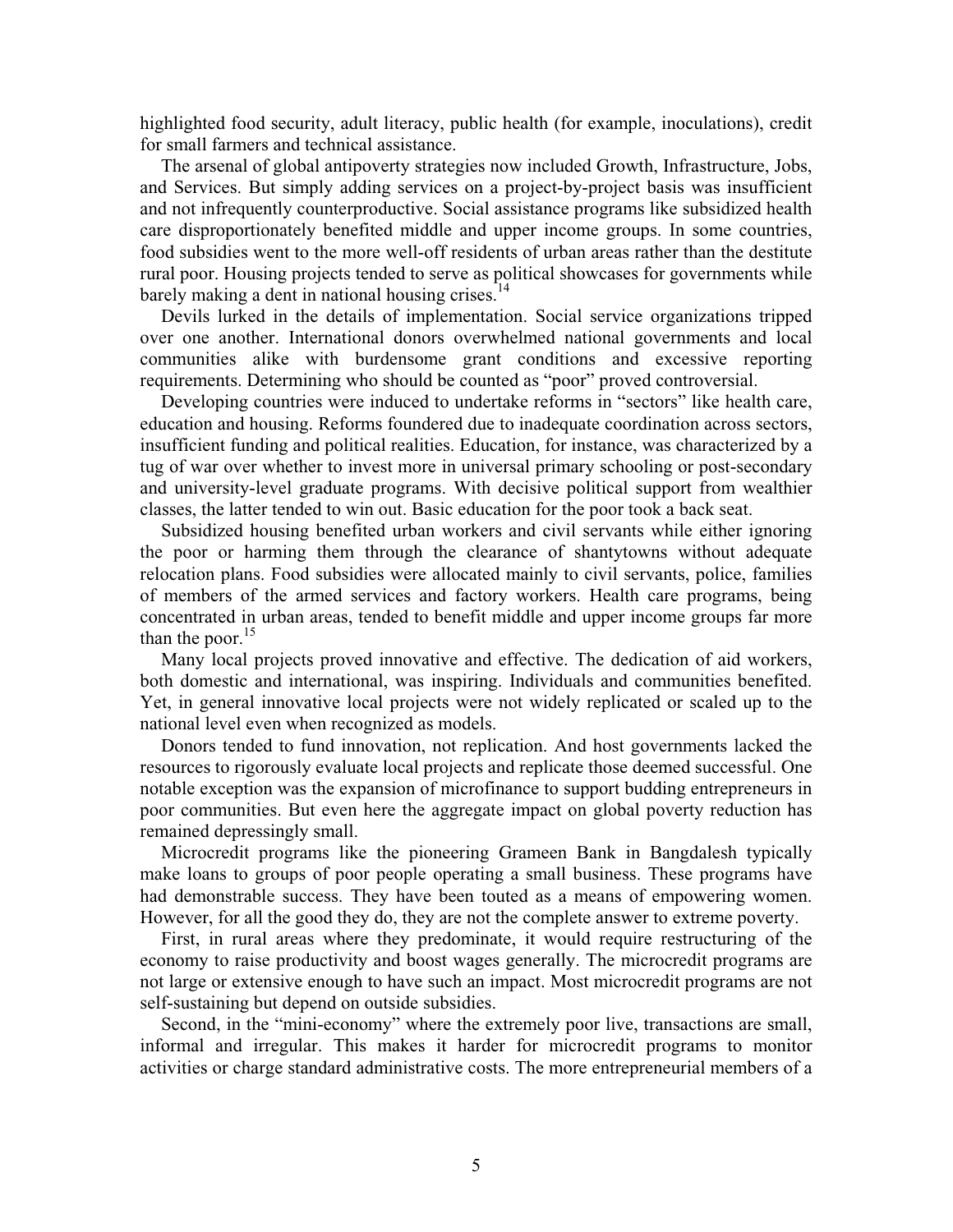highlighted food security, adult literacy, public health (for example, inoculations), credit for small farmers and technical assistance.

The arsenal of global antipoverty strategies now included Growth, Infrastructure, Jobs, and Services. But simply adding services on a project-by-project basis was insufficient and not infrequently counterproductive. Social assistance programs like subsidized health care disproportionately benefited middle and upper income groups. In some countries, food subsidies went to the more well-off residents of urban areas rather than the destitute rural poor. Housing projects tended to serve as political showcases for governments while barely making a dent in national housing crises. $<sup>14</sup>$ </sup>

Devils lurked in the details of implementation. Social service organizations tripped over one another. International donors overwhelmed national governments and local communities alike with burdensome grant conditions and excessive reporting requirements. Determining who should be counted as "poor" proved controversial.

Developing countries were induced to undertake reforms in "sectors" like health care, education and housing. Reforms foundered due to inadequate coordination across sectors, insufficient funding and political realities. Education, for instance, was characterized by a tug of war over whether to invest more in universal primary schooling or post-secondary and university-level graduate programs. With decisive political support from wealthier classes, the latter tended to win out. Basic education for the poor took a back seat.

Subsidized housing benefited urban workers and civil servants while either ignoring the poor or harming them through the clearance of shantytowns without adequate relocation plans. Food subsidies were allocated mainly to civil servants, police, families of members of the armed services and factory workers. Health care programs, being concentrated in urban areas, tended to benefit middle and upper income groups far more than the poor. $15$ 

Many local projects proved innovative and effective. The dedication of aid workers, both domestic and international, was inspiring. Individuals and communities benefited. Yet, in general innovative local projects were not widely replicated or scaled up to the national level even when recognized as models.

Donors tended to fund innovation, not replication. And host governments lacked the resources to rigorously evaluate local projects and replicate those deemed successful. One notable exception was the expansion of microfinance to support budding entrepreneurs in poor communities. But even here the aggregate impact on global poverty reduction has remained depressingly small.

Microcredit programs like the pioneering Grameen Bank in Bangdalesh typically make loans to groups of poor people operating a small business. These programs have had demonstrable success. They have been touted as a means of empowering women. However, for all the good they do, they are not the complete answer to extreme poverty.

First, in rural areas where they predominate, it would require restructuring of the economy to raise productivity and boost wages generally. The microcredit programs are not large or extensive enough to have such an impact. Most microcredit programs are not self-sustaining but depend on outside subsidies.

Second, in the "mini-economy" where the extremely poor live, transactions are small, informal and irregular. This makes it harder for microcredit programs to monitor activities or charge standard administrative costs. The more entrepreneurial members of a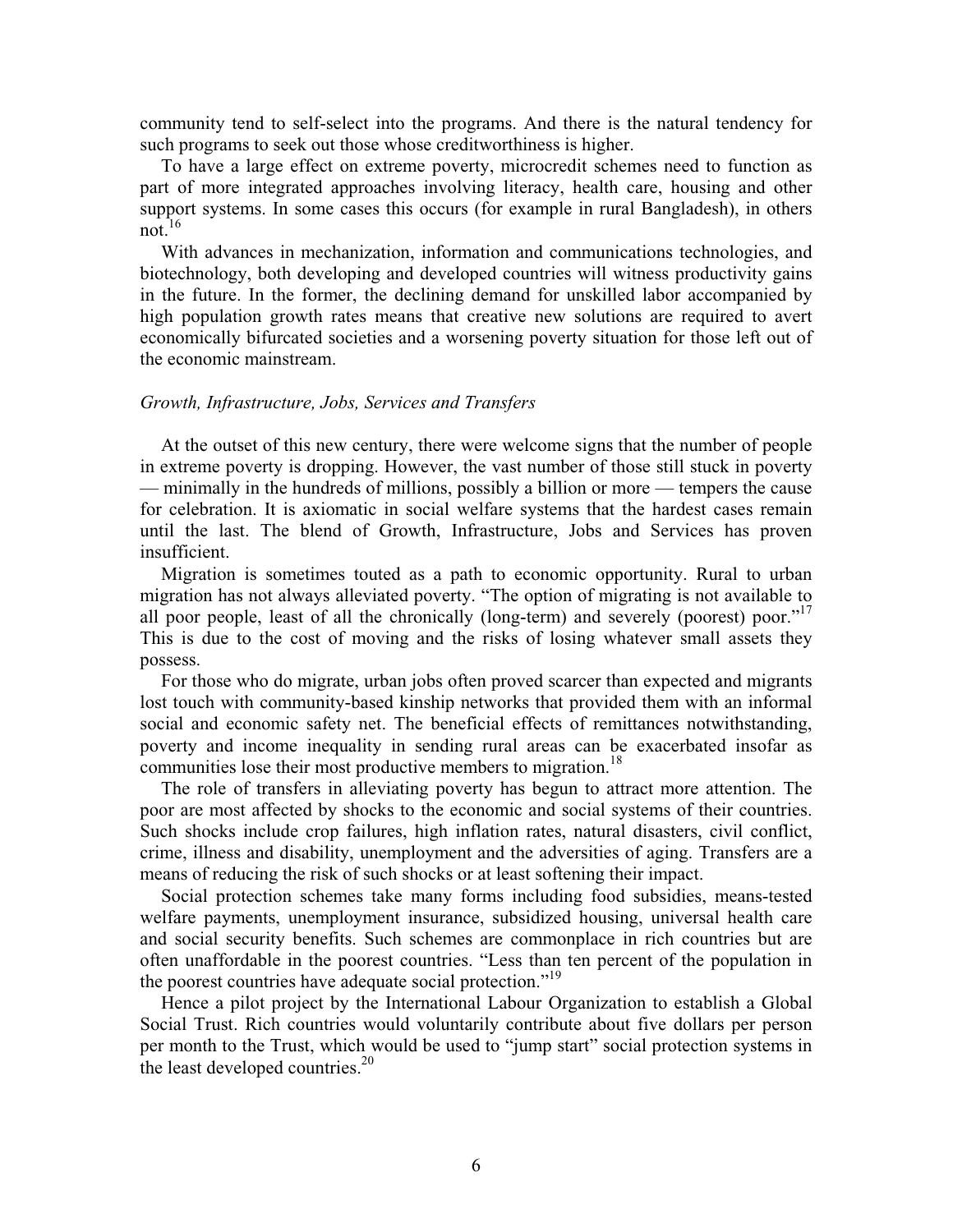community tend to self-select into the programs. And there is the natural tendency for such programs to seek out those whose creditworthiness is higher.

To have a large effect on extreme poverty, microcredit schemes need to function as part of more integrated approaches involving literacy, health care, housing and other support systems. In some cases this occurs (for example in rural Bangladesh), in others not. $16$ 

With advances in mechanization, information and communications technologies, and biotechnology, both developing and developed countries will witness productivity gains in the future. In the former, the declining demand for unskilled labor accompanied by high population growth rates means that creative new solutions are required to avert economically bifurcated societies and a worsening poverty situation for those left out of the economic mainstream.

### *Growth, Infrastructure, Jobs, Services and Transfers*

At the outset of this new century, there were welcome signs that the number of people in extreme poverty is dropping. However, the vast number of those still stuck in poverty — minimally in the hundreds of millions, possibly a billion or more — tempers the cause for celebration. It is axiomatic in social welfare systems that the hardest cases remain until the last. The blend of Growth, Infrastructure, Jobs and Services has proven insufficient.

Migration is sometimes touted as a path to economic opportunity. Rural to urban migration has not always alleviated poverty. "The option of migrating is not available to all poor people, least of all the chronically (long-term) and severely (poorest) poor."<sup>17</sup> This is due to the cost of moving and the risks of losing whatever small assets they possess.

For those who do migrate, urban jobs often proved scarcer than expected and migrants lost touch with community-based kinship networks that provided them with an informal social and economic safety net. The beneficial effects of remittances notwithstanding, poverty and income inequality in sending rural areas can be exacerbated insofar as communities lose their most productive members to migration.<sup>18</sup>

The role of transfers in alleviating poverty has begun to attract more attention. The poor are most affected by shocks to the economic and social systems of their countries. Such shocks include crop failures, high inflation rates, natural disasters, civil conflict, crime, illness and disability, unemployment and the adversities of aging. Transfers are a means of reducing the risk of such shocks or at least softening their impact.

Social protection schemes take many forms including food subsidies, means-tested welfare payments, unemployment insurance, subsidized housing, universal health care and social security benefits. Such schemes are commonplace in rich countries but are often unaffordable in the poorest countries. "Less than ten percent of the population in the poorest countries have adequate social protection."<sup>19</sup>

Hence a pilot project by the International Labour Organization to establish a Global Social Trust. Rich countries would voluntarily contribute about five dollars per person per month to the Trust, which would be used to "jump start" social protection systems in the least developed countries. $^{20}$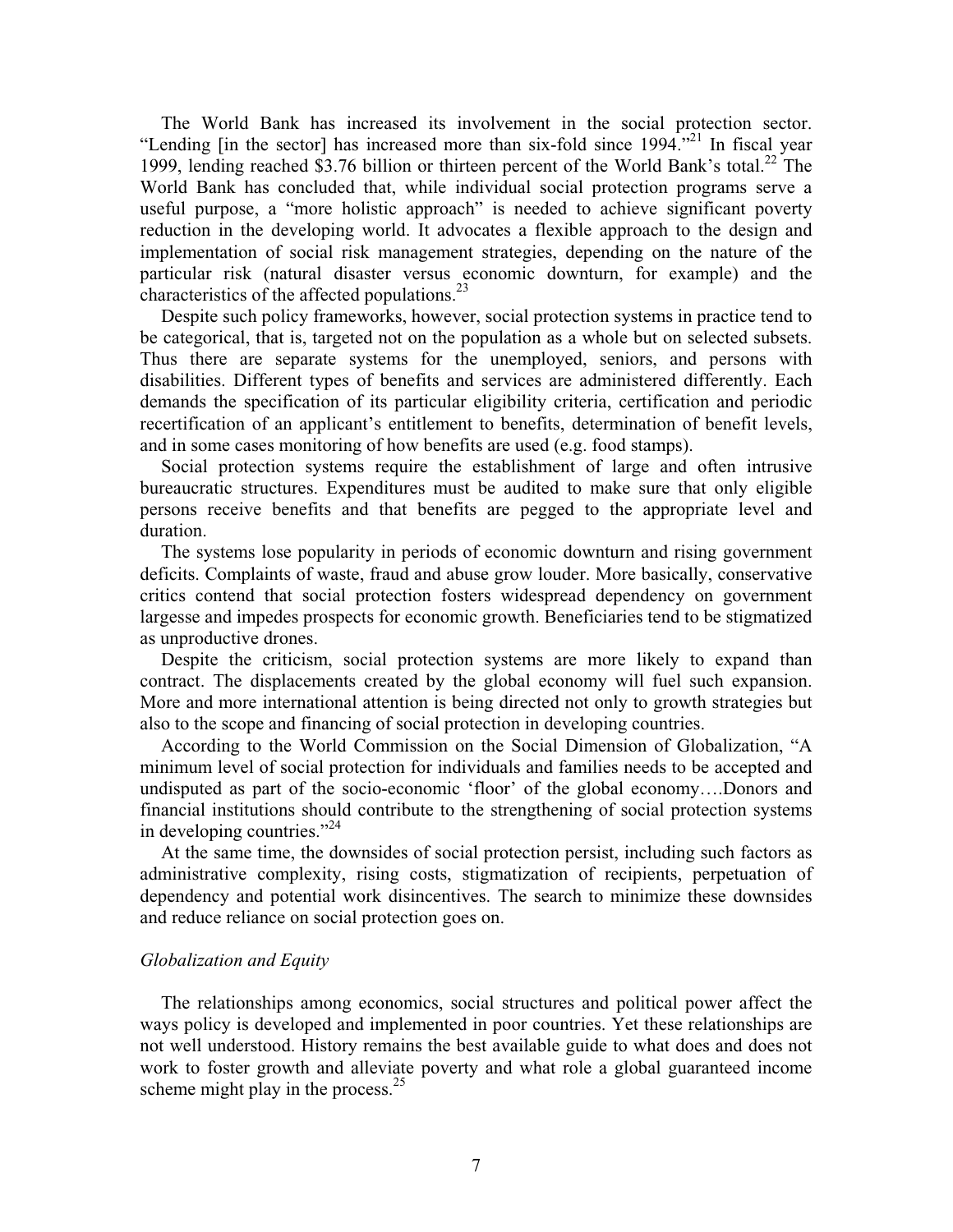The World Bank has increased its involvement in the social protection sector. "Lending [in the sector] has increased more than six-fold since  $1994$ ."<sup>21</sup> In fiscal year 1999, lending reached \$3.76 billion or thirteen percent of the World Bank's total.<sup>22</sup> The World Bank has concluded that, while individual social protection programs serve a useful purpose, a "more holistic approach" is needed to achieve significant poverty reduction in the developing world. It advocates a flexible approach to the design and implementation of social risk management strategies, depending on the nature of the particular risk (natural disaster versus economic downturn, for example) and the characteristics of the affected populations.<sup>23</sup>

Despite such policy frameworks, however, social protection systems in practice tend to be categorical, that is, targeted not on the population as a whole but on selected subsets. Thus there are separate systems for the unemployed, seniors, and persons with disabilities. Different types of benefits and services are administered differently. Each demands the specification of its particular eligibility criteria, certification and periodic recertification of an applicant's entitlement to benefits, determination of benefit levels, and in some cases monitoring of how benefits are used (e.g. food stamps).

Social protection systems require the establishment of large and often intrusive bureaucratic structures. Expenditures must be audited to make sure that only eligible persons receive benefits and that benefits are pegged to the appropriate level and duration.

The systems lose popularity in periods of economic downturn and rising government deficits. Complaints of waste, fraud and abuse grow louder. More basically, conservative critics contend that social protection fosters widespread dependency on government largesse and impedes prospects for economic growth. Beneficiaries tend to be stigmatized as unproductive drones.

Despite the criticism, social protection systems are more likely to expand than contract. The displacements created by the global economy will fuel such expansion. More and more international attention is being directed not only to growth strategies but also to the scope and financing of social protection in developing countries.

According to the World Commission on the Social Dimension of Globalization, "A minimum level of social protection for individuals and families needs to be accepted and undisputed as part of the socio-economic 'floor' of the global economy….Donors and financial institutions should contribute to the strengthening of social protection systems in developing countries." $^{24}$ 

At the same time, the downsides of social protection persist, including such factors as administrative complexity, rising costs, stigmatization of recipients, perpetuation of dependency and potential work disincentives. The search to minimize these downsides and reduce reliance on social protection goes on.

### *Globalization and Equity*

The relationships among economics, social structures and political power affect the ways policy is developed and implemented in poor countries. Yet these relationships are not well understood. History remains the best available guide to what does and does not work to foster growth and alleviate poverty and what role a global guaranteed income scheme might play in the process. $25$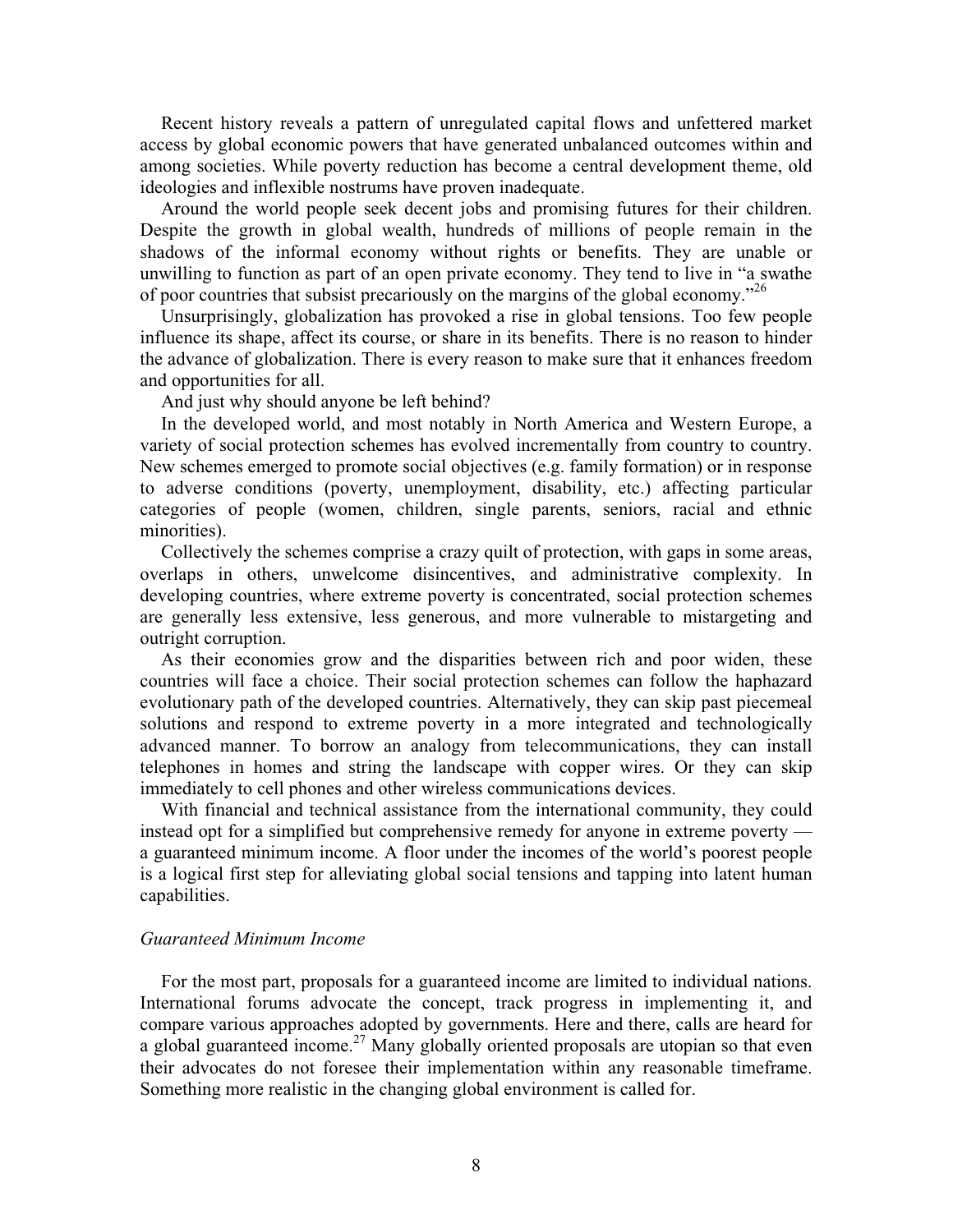Recent history reveals a pattern of unregulated capital flows and unfettered market access by global economic powers that have generated unbalanced outcomes within and among societies. While poverty reduction has become a central development theme, old ideologies and inflexible nostrums have proven inadequate.

Around the world people seek decent jobs and promising futures for their children. Despite the growth in global wealth, hundreds of millions of people remain in the shadows of the informal economy without rights or benefits. They are unable or unwilling to function as part of an open private economy. They tend to live in "a swathe of poor countries that subsist precariously on the margins of the global economy.<sup> $26$ </sup>

Unsurprisingly, globalization has provoked a rise in global tensions. Too few people influence its shape, affect its course, or share in its benefits. There is no reason to hinder the advance of globalization. There is every reason to make sure that it enhances freedom and opportunities for all.

And just why should anyone be left behind?

In the developed world, and most notably in North America and Western Europe, a variety of social protection schemes has evolved incrementally from country to country. New schemes emerged to promote social objectives (e.g. family formation) or in response to adverse conditions (poverty, unemployment, disability, etc.) affecting particular categories of people (women, children, single parents, seniors, racial and ethnic minorities).

Collectively the schemes comprise a crazy quilt of protection, with gaps in some areas, overlaps in others, unwelcome disincentives, and administrative complexity. In developing countries, where extreme poverty is concentrated, social protection schemes are generally less extensive, less generous, and more vulnerable to mistargeting and outright corruption.

As their economies grow and the disparities between rich and poor widen, these countries will face a choice. Their social protection schemes can follow the haphazard evolutionary path of the developed countries. Alternatively, they can skip past piecemeal solutions and respond to extreme poverty in a more integrated and technologically advanced manner. To borrow an analogy from telecommunications, they can install telephones in homes and string the landscape with copper wires. Or they can skip immediately to cell phones and other wireless communications devices.

With financial and technical assistance from the international community, they could instead opt for a simplified but comprehensive remedy for anyone in extreme poverty a guaranteed minimum income. A floor under the incomes of the world's poorest people is a logical first step for alleviating global social tensions and tapping into latent human capabilities.

# *Guaranteed Minimum Income*

For the most part, proposals for a guaranteed income are limited to individual nations. International forums advocate the concept, track progress in implementing it, and compare various approaches adopted by governments. Here and there, calls are heard for a global guaranteed income.<sup>27</sup> Many globally oriented proposals are utopian so that even their advocates do not foresee their implementation within any reasonable timeframe. Something more realistic in the changing global environment is called for.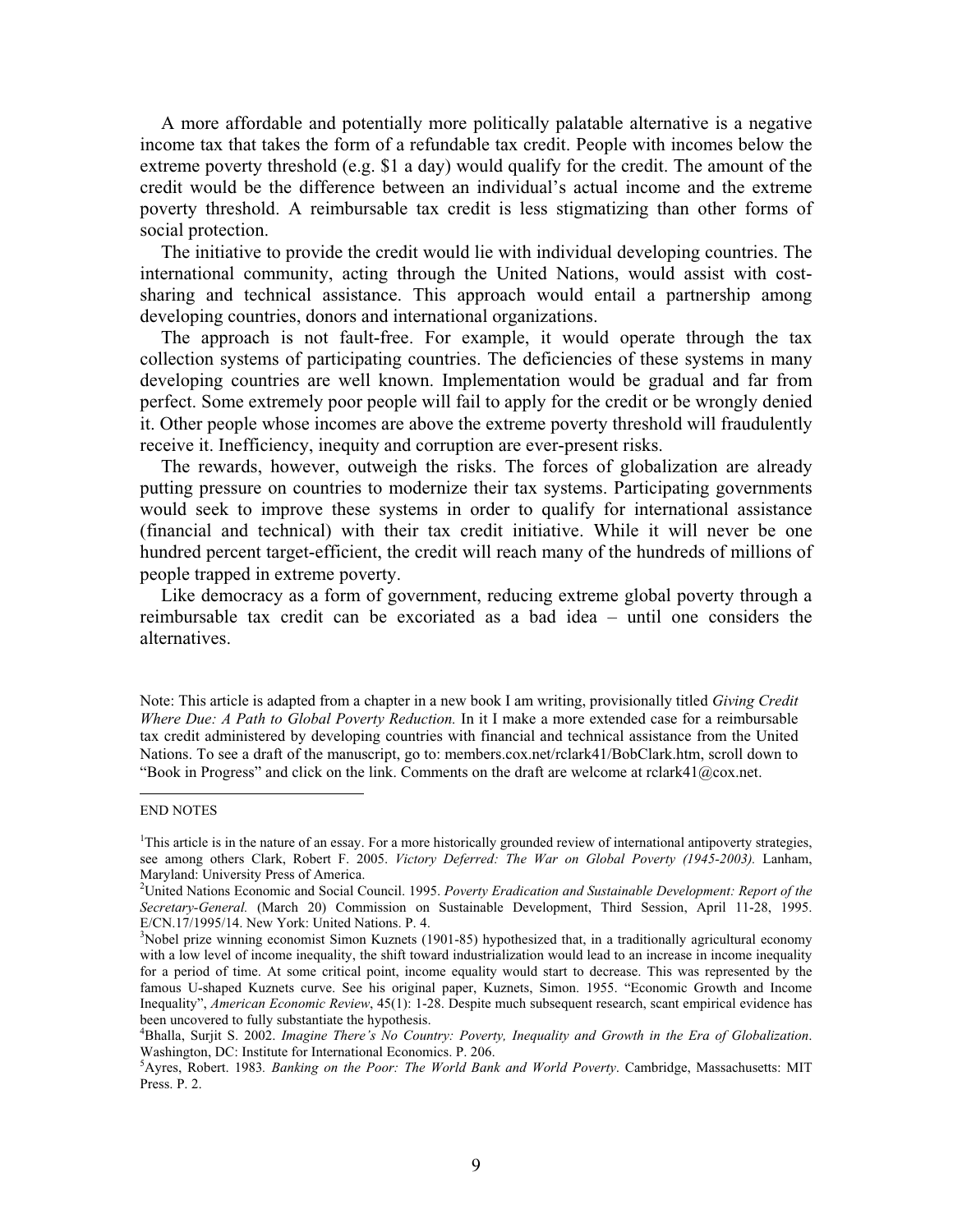A more affordable and potentially more politically palatable alternative is a negative income tax that takes the form of a refundable tax credit. People with incomes below the extreme poverty threshold (e.g. \$1 a day) would qualify for the credit. The amount of the credit would be the difference between an individual's actual income and the extreme poverty threshold. A reimbursable tax credit is less stigmatizing than other forms of social protection.

The initiative to provide the credit would lie with individual developing countries. The international community, acting through the United Nations, would assist with costsharing and technical assistance. This approach would entail a partnership among developing countries, donors and international organizations.

The approach is not fault-free. For example, it would operate through the tax collection systems of participating countries. The deficiencies of these systems in many developing countries are well known. Implementation would be gradual and far from perfect. Some extremely poor people will fail to apply for the credit or be wrongly denied it. Other people whose incomes are above the extreme poverty threshold will fraudulently receive it. Inefficiency, inequity and corruption are ever-present risks.

The rewards, however, outweigh the risks. The forces of globalization are already putting pressure on countries to modernize their tax systems. Participating governments would seek to improve these systems in order to qualify for international assistance (financial and technical) with their tax credit initiative. While it will never be one hundred percent target-efficient, the credit will reach many of the hundreds of millions of people trapped in extreme poverty.

Like democracy as a form of government, reducing extreme global poverty through a reimbursable tax credit can be excoriated as a bad idea – until one considers the alternatives.

Note: This article is adapted from a chapter in a new book I am writing, provisionally titled *Giving Credit Where Due: A Path to Global Poverty Reduction.* In it I make a more extended case for a reimbursable tax credit administered by developing countries with financial and technical assistance from the United Nations. To see a draft of the manuscript, go to: members.cox.net/rclark41/BobClark.htm, scroll down to "Book in Progress" and click on the link. Comments on the draft are welcome at rclark41@cox.net.

#### END NOTES

<sup>&</sup>lt;sup>1</sup>This article is in the nature of an essay. For a more historically grounded review of international antipoverty strategies, see among others Clark, Robert F. 2005. *Victory Deferred: The War on Global Poverty (1945-2003).* Lanham, Maryland: University Press of America.

<sup>2</sup> United Nations Economic and Social Council. 1995. *Poverty Eradication and Sustainable Development: Report of the Secretary-General.* (March 20) Commission on Sustainable Development, Third Session, April 11-28, 1995. E/CN.17/1995/14. New York: United Nations. P. 4.

<sup>&</sup>lt;sup>3</sup>Nobel prize winning economist Simon Kuznets (1901-85) hypothesized that, in a traditionally agricultural economy with a low level of income inequality, the shift toward industrialization would lead to an increase in income inequality for a period of time. At some critical point, income equality would start to decrease. This was represented by the famous U-shaped Kuznets curve. See his original paper, Kuznets, Simon. 1955. "Economic Growth and Income Inequality", *American Economic Review*, 45(1): 1-28. Despite much subsequent research, scant empirical evidence has been uncovered to fully substantiate the hypothesis.

<sup>4</sup> Bhalla, Surjit S. 2002. *Imagine There's No Country: Poverty, Inequality and Growth in the Era of Globalization*. Washington, DC: Institute for International Economics. P. 206.

<sup>5</sup> Ayres, Robert. 1983*. Banking on the Poor: The World Bank and World Poverty*. Cambridge, Massachusetts: MIT Press. P. 2.